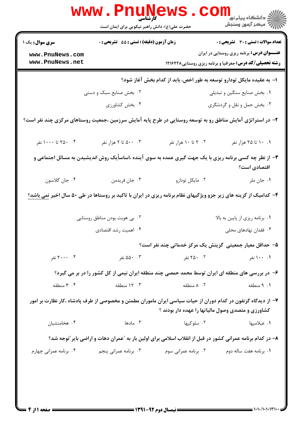|                                                                                                            | <b>WWW.PNUNews</b><br>کارشناسی<br>حضرت علی(ع): دانش راهبر نیکویی برای ایمان است                                          |                                                                       | ڪ دانشڪاه پيام نور<br>ا∛ مرڪز آزمون وسنڊش                                                                            |
|------------------------------------------------------------------------------------------------------------|--------------------------------------------------------------------------------------------------------------------------|-----------------------------------------------------------------------|----------------------------------------------------------------------------------------------------------------------|
| <b>سری سوال :</b> یک ۱                                                                                     | زمان آزمون (دقیقه) : تستی : 55 آتشریحی : 0                                                                               |                                                                       | <b>تعداد سوالات : تستی : 30 ٪ تشریحی : 0</b>                                                                         |
| www.PnuNews.com<br>www.PnuNews.net                                                                         |                                                                                                                          |                                                                       | <b>عنـــوان درس:</b> برنامه ریزی روستایی در ایران<br><b>رشته تحصیلی/کد درس:</b> جغرافیا و برنامه ریزی روستایی1۲۱۶۴۲۸ |
|                                                                                                            |                                                                                                                          | ا– به عقیده مایکل تودارو توسعه به طور اخص، باید از کدام بخش آغاز شود؟ |                                                                                                                      |
|                                                                                                            | ۰۲ بخش صنایع سبک و دستی                                                                                                  |                                                                       | ٠١. بخش صنايع سنگين و تبديلي                                                                                         |
|                                                                                                            | ۰۴ بخش كشاورزى                                                                                                           |                                                                       | ۰۳ بخش حمل و نقل و گردشگری                                                                                           |
| ۲– در استراتژی آمایش مناطق رو به توسعه روستایی در طرح پایه آمایش سرزمین ،جمعیت روستاهای مرکزی چند نفر است؟ |                                                                                                                          |                                                                       |                                                                                                                      |
| ۰۴ تا ۱۰۰۰ نفر                                                                                             | ۰۰ . ۵۰۰ تا ۲ هزار نفر                                                                                                   | ۰۲ تا ۱۰ هزار نفر                                                     | ۰۱ ۱۰ تا ۲۵ هزار نفر                                                                                                 |
|                                                                                                            | ۳- از نظر چه کسی برنامه ریزی با یک جهت گیری عمده به سوی آینده ،اساساًیک روش اندیشیدن به مسائل اجتماعی و                  |                                                                       | اقتصادی است؟                                                                                                         |
| ۰۴ جان گلاسون                                                                                              | ۰۳ جان فريدمن                                                                                                            | ۰۲ مایکل تودارو                                                       | ۰۱ جان ملر                                                                                                           |
|                                                                                                            | ۴- کدامیک از گزینه های زیر جزو ویژگیهای نظام برنامه ریزی در ایران با تاکید بر روستاها در طی ۵۰ سال اخیر <u>نمی باشد؟</u> |                                                                       |                                                                                                                      |
|                                                                                                            | ۰۲ بی هویت بودن مناطق روستایی                                                                                            |                                                                       | ۰۱ برنامه ریزی از پایین به بالا                                                                                      |
|                                                                                                            | ۰۴ اهمیت رشد اقتصادی                                                                                                     |                                                                       | ۰۳ فقدان نهادهای محلی                                                                                                |
|                                                                                                            |                                                                                                                          | ۵– حداقل معیار جمعیتی گزینش یک مرکز خدماتی چند نفر است؟               |                                                                                                                      |
| ۰۴ ۲۰۰۰ نفر                                                                                                | ۵۵۰ ۰۳ نفر                                                                                                               | ۲. ۲۵۰ نفر                                                            | ۰۰ ۱۰۰ نفر                                                                                                           |
|                                                                                                            | ۶– در بررسی های منطقه ای ایران توسط محمد حمصی چند منطقه ایران نیمی از کل کشور را در بر می گیرد؟                          |                                                                       |                                                                                                                      |
| ۰۴ منطقه                                                                                                   | ۰۳ ۱۲ منطقه                                                                                                              | ۰۲ ۸ منطقه                                                            | ۰۱ منطقه                                                                                                             |
|                                                                                                            | ۷– از دیدگاه گزنفون در کدام دوران از حیات سیاسی ایران ماموران مطمئن و مخصوصی از طرف پادشاه ،کار نظارت بر امور            | کشاورزی و متصدی وصول مالیاتها را عهده دار بودند ؟                     |                                                                                                                      |
| ۰۴ هخامنشیان                                                                                               | ۰۳ مادها $\cdot$                                                                                                         | ۰۲ سلوکیها                                                            | ۰۱ عیلامیها                                                                                                          |
|                                                                                                            | ۸– در کدام برنامه عمرانی کشور در قبل از انقلاب اسلامی برای اولین بار به "عمران دهات و اراضی بایر"توجه شد؟                |                                                                       |                                                                                                                      |
| ۰۴ برنامه عمرانی چهارم                                                                                     | ۰۳ برنامه عمرانی پنجم                                                                                                    | ۰۲ برنامه عمرانی سوم                                                  | ۰۱ برنامه هفت ساله دوم                                                                                               |
|                                                                                                            |                                                                                                                          |                                                                       |                                                                                                                      |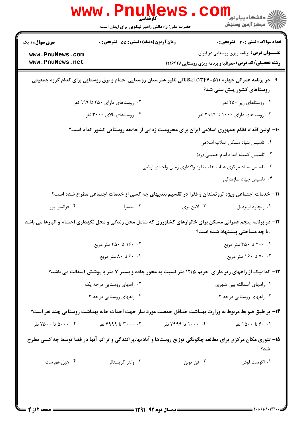| تعداد سوالات : تستي : 30 ٪ تشريحي : 0              |                                                                                                               | زمان آزمون (دقیقه) : تستی : 55 تشریحی : 0 | <b>سری سوال : ۱ یک</b>             |
|----------------------------------------------------|---------------------------------------------------------------------------------------------------------------|-------------------------------------------|------------------------------------|
| <b>عنــــوان درس:</b> برنامه ریزی روستایی در ایران | <b>رشته تحصیلی/کد درس:</b> جغرافیا و برنامه ریزی روستایی۱۲۱۶۴۲۸                                               |                                           | www.PnuNews.com<br>www.PnuNews.net |
| روستاهای کشور پیش بینی شد؟                         | ۹- در برنامه عمرانی چهارم (۵۱-۱۳۴۷) امکاناتی نظیر هنرستان روستایی ،حمام و برق روستایی برای کدام گروه جمعیتی   |                                           |                                    |
| ۰۱ روستاهای زیر ۲۵۰ نفر                            |                                                                                                               | ۰۲ روستاهای دارای ۲۵۰ تا ۹۹۹ نفر          |                                    |
| ۰۳ روستاهای دارای ۱۰۰۰ تا ۲۹۹۹ نفر                 |                                                                                                               | ۰۴ روستاهای بالای ۳۰۰۰ نفر                |                                    |
|                                                    | ۱۰– اولین اقدام نظام جمهوری اسلامی ایران برای محرومیت زدایی از جامعه روستایی کشور کدام است؟                   |                                           |                                    |
| ٠١ تاسيس بنياد مسكن انقلاب اسلامى                  |                                                                                                               |                                           |                                    |
| ٠٢ تاسيس كميته امداد امام خمينى (ره)               |                                                                                                               |                                           |                                    |
|                                                    | ۰۳ تاسیس ستاد مرکزی هیات هفت نفره واگذاری زمین واحیای اراضی                                                   |                                           |                                    |
| ۰۴ تاسیس جهاد سازندگی                              |                                                                                                               |                                           |                                    |
|                                                    | 11- خدمات اجتماعی ویژه ثروتمندان و فقرا در تقسیم بندیهای چه کسی از خدمات اجتماعی مطرح شده است؟                |                                           |                                    |
| ٠١. ريچارد لونزديل                                 | ۰۲ لاين بري                                                                                                   | ۰۳ میسرا                                  | ۰۴ فرانسوا پرو                     |
| ،با چه مساحتی پیشنهاد شده است؟                     | ۱۲- در برنامه پنجم عمرانی مسکن برای خانوارهای کشاورزی که شامل محل زندگی و محل نگهداری احشام و انبارها می باشد |                                           |                                    |
| ۰۱ ۲۰۰ تا ۳۵۰ متر مربع                             |                                                                                                               |                                           |                                    |
| ۰۳ . ۷۰ تا ۱۶۰ متر مربع                            |                                                                                                               | ۰۴ ج تا ۸۰ متر مربع .                     |                                    |
|                                                    | ۱۳- کدامیک از راههای زیر دارای حریم ۱۲/۵ متر نسبت به محور جاده و بستر ۷ متر با پوشش آسفالت می باشد؟           |                                           |                                    |
| ۰۱ راههای آسفالته بین شهری                         |                                                                                                               | ۰۲ راههای روستایی درجه یک                 |                                    |
| ۰۳ راههای روستایی درجه ۲                           |                                                                                                               | ۰۴ راههای روستایی درجه ۳                  |                                    |
|                                                    | ۱۴– بر طبق ضوابط مربوط به وزارت بهداشت حداقل جمعیت مورد نیاز جهت احداث خانه بهداشت روستایی چند نفر است؟       |                                           |                                    |
| ۰. ۶۰ تا ۱۵۰۰ نفر                                  | ۰۲ - ۱۰۰۰ تا ۲۹۹۹ نفر                                                                                         | ۰۳ - ۳۰۰۰ تا ۴۹۹۹ نفر                     | ۰۰ . ۵۰۰۰ تا ۷۵۰۰ نفر              |
| شد؟                                                | ۱۵- تئوری مکان مرکزی برای مطالعه چگونگی توزیع روستاها و آبادیها،پراکندگی و تراکم آنها در فضا توسط چه کسی مطرح |                                           |                                    |
| ۰۱ اگوست لوش                                       | ۰۲ فن تونن                                                                                                    | ۰۳ والتر کریستالر                         | ۰۴ هيل هورست                       |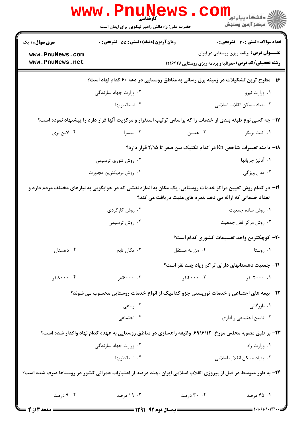|                                    | <b>WWW . P</b> I<br>کارشناسی<br>حضرت علی(ع): دانش راهبر نیکویی برای ایمان است                                   |                                                            | ڪ دانشڪاه پيام نور<br><mark>√</mark> مرڪز آزمون وسنڊش                                                                |
|------------------------------------|-----------------------------------------------------------------------------------------------------------------|------------------------------------------------------------|----------------------------------------------------------------------------------------------------------------------|
| <b>سری سوال : ۱ یک</b>             | زمان آزمون (دقیقه) : تستی : 55 گشریحی : 0                                                                       |                                                            | تعداد سوالات : تستي : 30 ٪ تشريحي : 0                                                                                |
| www.PnuNews.com<br>www.PnuNews.net |                                                                                                                 |                                                            | <b>عنـــوان درس:</b> برنامه ریزی روستایی در ایران<br><b>رشته تحصیلی/کد درس:</b> جغرافیا و برنامه ریزی روستایی1۲۱۶۴۲۸ |
|                                    | ۱۶– مطرح ترین تشکیلات در زمینه برق رسانی به مناطق روستایی در دهه ۶۰ کدام نهاد است؟                              |                                                            |                                                                                                                      |
|                                    | ۰۲ وزارت جهاد سازندگی                                                                                           |                                                            | ۰۱ وزارت نیرو                                                                                                        |
|                                    | ۰۴ استانداریها                                                                                                  |                                                            | ۰۳ بنیاد مسکن انقلاب اسلامی                                                                                          |
|                                    | ۱۷- چه کسی نوع طبقه بندی از خدمات را که براساس ترتیب استقرار و مرکزیت آنها قرار دارد را پیشنهاد نموده است؟      |                                                            |                                                                                                                      |
| ۰۴ لاين بري                        | ۰۳ میسرا                                                                                                        | ۰۲ هنسن                                                    | ۰۱ کنت بریگز                                                                                                         |
|                                    |                                                                                                                 |                                                            | ۱۸− دامنه تغییرات شاخص Rn در کدام تکنیک بین صفر تا ۲/۱۵ قرار دارد؟                                                   |
|                                    | ۰۲ روش تئوری ترسیمی                                                                                             |                                                            | ٠١ آناليز جريانها                                                                                                    |
|                                    | ۰۴ روش نزديكترين مجاورت                                                                                         |                                                            | ۰۳ مدل ویژگی                                                                                                         |
|                                    | ۱۹– در کدام روش تعیین مراکز خدمات روستایی، یک مکان به اندازه نقشی که در جوابگویی به نیازهای مختلف مردم دارد و   | تعداد خدماتی که ارائه می دهد ،نمره های مثبت دریافت می کند؟ |                                                                                                                      |
|                                    | ۰۲ روش کارکردی                                                                                                  |                                                            | ۰۱ روش ساده جمعیت                                                                                                    |
|                                    | ۰۴ روش ترسیمی                                                                                                   |                                                            | ۰۳ روش مرکز ثقل جمعیت                                                                                                |
|                                    |                                                                                                                 |                                                            | <b>۲۰</b> - کوچکترین واحد تقسیمات کشوری کدام است؟                                                                    |
| ۰۴ دهستان                          | ۰۳ مکان تابع                                                                                                    | ۰۲ مزرعه مستقل                                             | ۰۱ روستا                                                                                                             |
|                                    |                                                                                                                 | <b>۲۱</b> - جمعیت دهستانهای دارای تراکم زیاد چند نفر است؟  |                                                                                                                      |
| ۰۰ . ۸۰۰۰نفر                       | ۰۰ ۰۰۰ نفر                                                                                                      | ۰۰ ۴۰۰۰ تفر                                                | ۰۱ ۲۰۰۰ نفر                                                                                                          |
|                                    | ۲۲- بیمه های اجتماعی و خدمات توریستی جزو کدامیک از انواع خدمات روستایی محسوب می شوند؟                           |                                                            |                                                                                                                      |
|                                    | ۰۲ رفاهی                                                                                                        |                                                            | ۰۱. بازرگانی                                                                                                         |
|                                    | ۰۴ اجتماعی                                                                                                      |                                                            | ۰۳ تامین اجتماعی و اداری                                                                                             |
|                                    | ۲۳- بر طبق مصوبه مجلس مورخ ۶۹/۶/۱۲ وظیفه راهسازی در مناطق روستایی به عهده کدام نهاد واگذار شده است؟             |                                                            |                                                                                                                      |
| ۰۲ وزارت جهاد سازندگی              |                                                                                                                 |                                                            | ٠١ وزارت راه                                                                                                         |
|                                    | ۰۴ استانداریها                                                                                                  |                                                            | ۰۳ بنیاد مسکن انقلاب اسلامی                                                                                          |
|                                    | ۲۴– به طور متوسط در قبل از پیروزی انقلاب اسلامی ایران ،چند درصد از اعتبارات عمرانی کشور در روستاها صرف شده است؟ |                                                            |                                                                                                                      |
| ۰۴ درصد<br>= 6 صفحه 13 ; 4         | ۰۳ ۱۹ درصد                                                                                                      | ۰۲ درصد                                                    | ۰۱ ۴۵ درصد                                                                                                           |